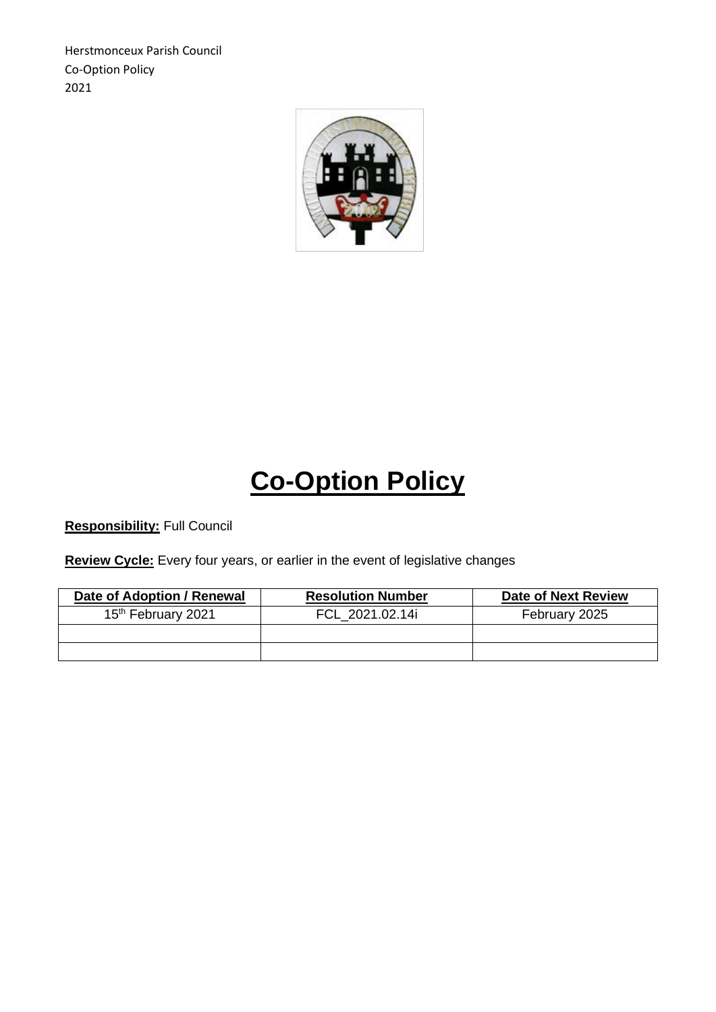Herstmonceux Parish Council Co-Option Policy 2021



## **Co-Option Policy**

**Responsibility:** Full Council

**Review Cycle:** Every four years, or earlier in the event of legislative changes

| Date of Adoption / Renewal     | <b>Resolution Number</b> | <b>Date of Next Review</b> |
|--------------------------------|--------------------------|----------------------------|
| 15 <sup>th</sup> February 2021 | FCL 2021.02.14i          | February 2025              |
|                                |                          |                            |
|                                |                          |                            |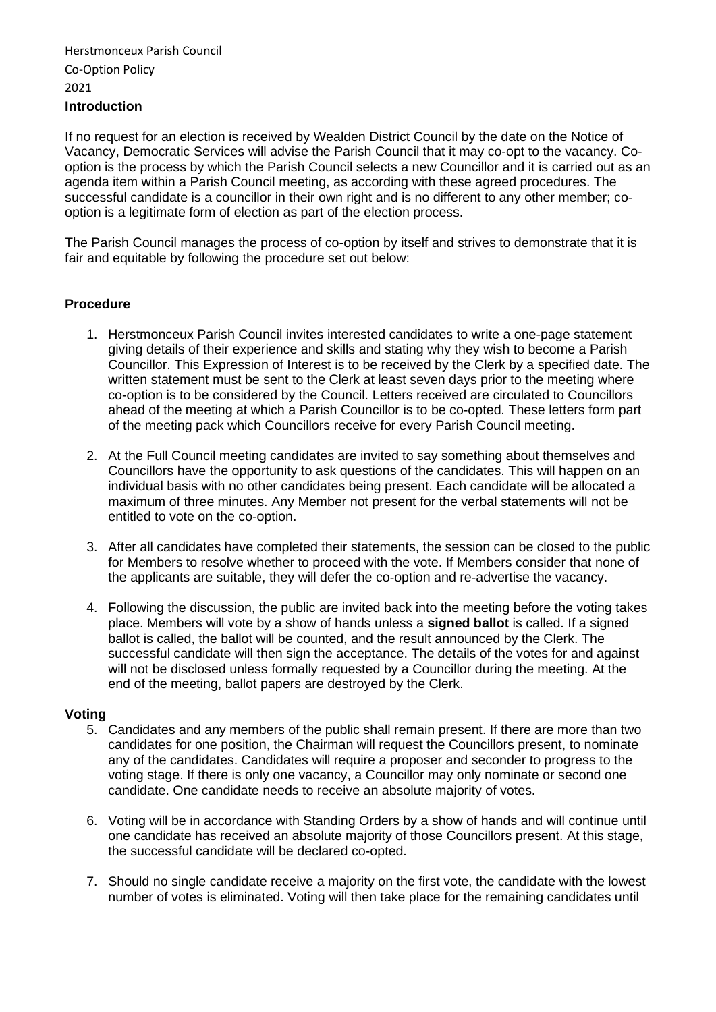## Herstmonceux Parish Council Co-Option Policy 2021 **Introduction**

If no request for an election is received by Wealden District Council by the date on the Notice of Vacancy, Democratic Services will advise the Parish Council that it may co-opt to the vacancy. Cooption is the process by which the Parish Council selects a new Councillor and it is carried out as an agenda item within a Parish Council meeting, as according with these agreed procedures. The successful candidate is a councillor in their own right and is no different to any other member; cooption is a legitimate form of election as part of the election process.

The Parish Council manages the process of co-option by itself and strives to demonstrate that it is fair and equitable by following the procedure set out below:

## **Procedure**

- 1. Herstmonceux Parish Council invites interested candidates to write a one-page statement giving details of their experience and skills and stating why they wish to become a Parish Councillor. This Expression of Interest is to be received by the Clerk by a specified date. The written statement must be sent to the Clerk at least seven days prior to the meeting where co-option is to be considered by the Council. Letters received are circulated to Councillors ahead of the meeting at which a Parish Councillor is to be co-opted. These letters form part of the meeting pack which Councillors receive for every Parish Council meeting.
- 2. At the Full Council meeting candidates are invited to say something about themselves and Councillors have the opportunity to ask questions of the candidates. This will happen on an individual basis with no other candidates being present. Each candidate will be allocated a maximum of three minutes. Any Member not present for the verbal statements will not be entitled to vote on the co-option.
- 3. After all candidates have completed their statements, the session can be closed to the public for Members to resolve whether to proceed with the vote. If Members consider that none of the applicants are suitable, they will defer the co-option and re-advertise the vacancy.
- 4. Following the discussion, the public are invited back into the meeting before the voting takes place. Members will vote by a show of hands unless a **signed ballot** is called. If a signed ballot is called, the ballot will be counted, and the result announced by the Clerk. The successful candidate will then sign the acceptance. The details of the votes for and against will not be disclosed unless formally requested by a Councillor during the meeting. At the end of the meeting, ballot papers are destroyed by the Clerk.

## **Voting**

- 5. Candidates and any members of the public shall remain present. If there are more than two candidates for one position, the Chairman will request the Councillors present, to nominate any of the candidates. Candidates will require a proposer and seconder to progress to the voting stage. If there is only one vacancy, a Councillor may only nominate or second one candidate. One candidate needs to receive an absolute majority of votes.
- 6. Voting will be in accordance with Standing Orders by a show of hands and will continue until one candidate has received an absolute majority of those Councillors present. At this stage, the successful candidate will be declared co-opted.
- 7. Should no single candidate receive a majority on the first vote, the candidate with the lowest number of votes is eliminated. Voting will then take place for the remaining candidates until